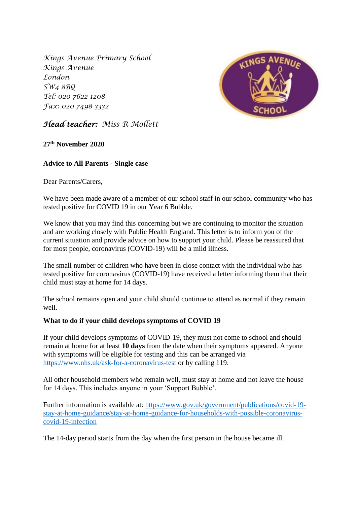*Kings Avenue Primary School Kings Avenue London SW4 8BQ Tel: 020 7622 1208 Fax: 020 7498 3332*



# *Head teacher: Miss R Mollett*

**27th November 2020**

# **Advice to All Parents - Single case**

Dear Parents/Carers,

We have been made aware of a member of our school staff in our school community who has tested positive for COVID 19 in our Year 6 Bubble.

We know that you may find this concerning but we are continuing to monitor the situation and are working closely with Public Health England. This letter is to inform you of the current situation and provide advice on how to support your child. Please be reassured that for most people, coronavirus (COVID-19) will be a mild illness.

The small number of children who have been in close contact with the individual who has tested positive for coronavirus (COVID-19) have received a letter informing them that their child must stay at home for 14 days.

The school remains open and your child should continue to attend as normal if they remain well.

## **What to do if your child develops symptoms of COVID 19**

If your child develops symptoms of COVID-19, they must not come to school and should remain at home for at least **10 days** from the date when their symptoms appeared. Anyone with symptoms will be eligible for testing and this can be arranged via <https://www.nhs.uk/ask-for-a-coronavirus-test> or by calling 119.

All other household members who remain well, must stay at home and not leave the house for 14 days. This includes anyone in your 'Support Bubble'.

Further information is available at: [https://www.gov.uk/government/publications/covid-19](https://www.gov.uk/government/publications/covid-19-stay-at-home-guidance/stay-at-home-guidance-for-households-with-possible-coronavirus-covid-19-infection) [stay-at-home-guidance/stay-at-home-guidance-for-households-with-possible-coronavirus](https://www.gov.uk/government/publications/covid-19-stay-at-home-guidance/stay-at-home-guidance-for-households-with-possible-coronavirus-covid-19-infection)[covid-19-infection](https://www.gov.uk/government/publications/covid-19-stay-at-home-guidance/stay-at-home-guidance-for-households-with-possible-coronavirus-covid-19-infection)

The 14-day period starts from the day when the first person in the house became ill.